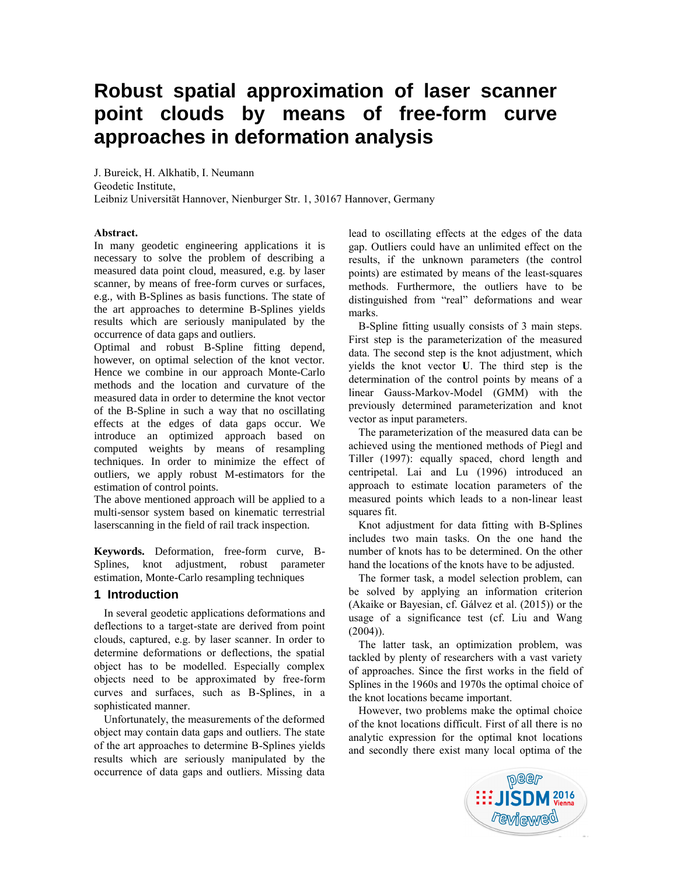# **Robust spatial approximation of laser scanner point clouds by means of free-form curve approaches in deformation analysis**

J. Bureick, H. Alkhatib, I. Neumann Geodetic Institute, Leibniz Universität Hannover, Nienburger Str. 1, 30167 Hannover, Germany

#### **Abstract.**

In many geodetic engineering applications it is necessary to solve the problem of describing a measured data point cloud, measured, e.g. by laser scanner, by means of free-form curves or surfaces, e.g., with B-Splines as basis functions. The state of the art approaches to determine B-Splines yields results which are seriously manipulated by the occurrence of data gaps and outliers.

Optimal and robust B-Spline fitting depend, however, on optimal selection of the knot vector. Hence we combine in our approach Monte-Carlo methods and the location and curvature of the measured data in order to determine the knot vector of the B-Spline in such a way that no oscillating effects at the edges of data gaps occur. We introduce an optimized approach based on computed weights by means of resampling techniques. In order to minimize the effect of outliers, we apply robust M-estimators for the estimation of control points.

The above mentioned approach will be applied to a multi-sensor system based on kinematic terrestrial laserscanning in the field of rail track inspection.

**Keywords.** Deformation, free-form curve, B-Splines, knot adjustment, robust parameter estimation, Monte-Carlo resampling techniques

# **1 Introduction**

In several geodetic applications deformations and deflections to a target-state are derived from point clouds, captured, e.g. by laser scanner. In order to determine deformations or deflections, the spatial object has to be modelled. Especially complex objects need to be approximated by free-form curves and surfaces, such as B-Splines, in a sophisticated manner.

Unfortunately, the measurements of the deformed object may contain data gaps and outliers. The state of the art approaches to determine B-Splines yields results which are seriously manipulated by the occurrence of data gaps and outliers. Missing data

lead to oscillating effects at the edges of the data gap. Outliers could have an unlimited effect on the results, if the unknown parameters (the control points) are estimated by means of the least-squares methods. Furthermore, the outliers have to be distinguished from "real" deformations and wear marks.

B-Spline fitting usually consists of 3 main steps. First step is the parameterization of the measured data. The second step is the knot adjustment, which yields the knot vector **U**. The third step is the determination of the control points by means of a linear Gauss-Markov-Model (GMM) with the previously determined parameterization and knot vector as input parameters.

The parameterization of the measured data can be achieved using the mentioned methods of Piegl and Tiller (1997): equally spaced, chord length and centripetal. Lai and Lu (1996) introduced an approach to estimate location parameters of the measured points which leads to a non-linear least squares fit.

Knot adjustment for data fitting with B-Splines includes two main tasks. On the one hand the number of knots has to be determined. On the other hand the locations of the knots have to be adjusted.

The former task, a model selection problem, can be solved by applying an information criterion (Akaike or Bayesian, cf. Gálvez et al. (2015)) or the usage of a significance test (cf. Liu and Wang  $(2004)$ ).

The latter task, an optimization problem, was tackled by plenty of researchers with a vast variety of approaches. Since the first works in the field of Splines in the 1960s and 1970s the optimal choice of the knot locations became important.

However, two problems make the optimal choice of the knot locations difficult. First of all there is no analytic expression for the optimal knot locations and secondly there exist many local optima of the

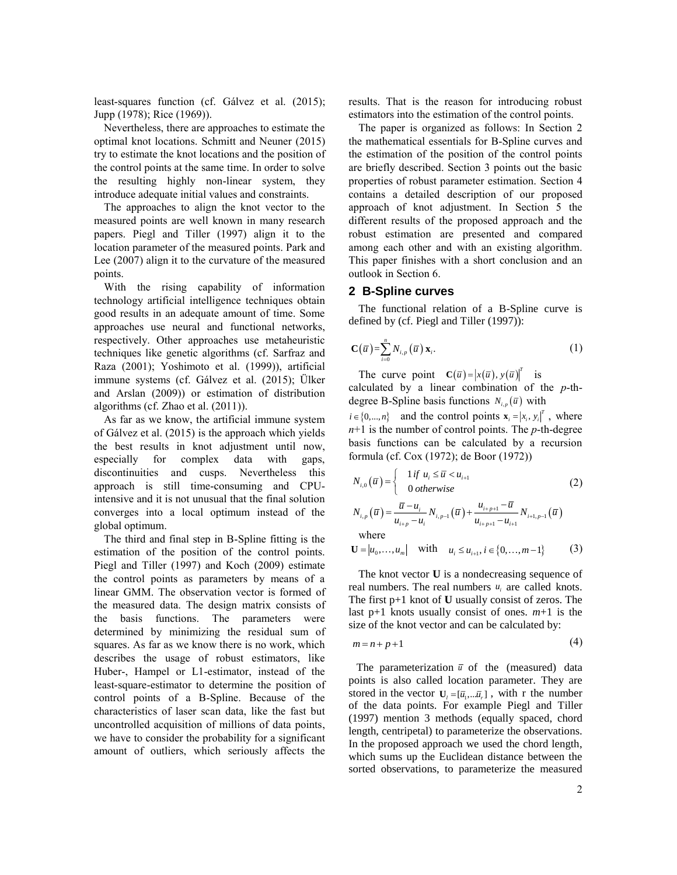least-squares function (cf. Gálvez et al. (2015); Jupp (1978); Rice (1969)).

Nevertheless, there are approaches to estimate the optimal knot locations. Schmitt and Neuner (2015) try to estimate the knot locations and the position of the control points at the same time. In order to solve the resulting highly non-linear system, they introduce adequate initial values and constraints.

The approaches to align the knot vector to the measured points are well known in many research papers. Piegl and Tiller (1997) align it to the location parameter of the measured points. Park and Lee (2007) align it to the curvature of the measured points.

With the rising capability of information technology artificial intelligence techniques obtain good results in an adequate amount of time. Some approaches use neural and functional networks, respectively. Other approaches use metaheuristic techniques like genetic algorithms (cf. Sarfraz and Raza (2001); Yoshimoto et al. (1999)), artificial immune systems (cf. Gálvez et al. (2015); Ülker and Arslan (2009)) or estimation of distribution algorithms (cf. Zhao et al. (2011)).

As far as we know, the artificial immune system of Gálvez et al. (2015) is the approach which yields the best results in knot adjustment until now, especially for complex data with gaps, discontinuities and cusps. Nevertheless this approach is still time-consuming and CPUintensive and it is not unusual that the final solution converges into a local optimum instead of the global optimum.

The third and final step in B-Spline fitting is the estimation of the position of the control points. Piegl and Tiller (1997) and Koch (2009) estimate the control points as parameters by means of a linear GMM. The observation vector is formed of the measured data. The design matrix consists of the basis functions. The parameters were determined by minimizing the residual sum of squares. As far as we know there is no work, which describes the usage of robust estimators, like Huber-, Hampel or L1-estimator, instead of the least-square-estimator to determine the position of control points of a B-Spline. Because of the characteristics of laser scan data, like the fast but uncontrolled acquisition of millions of data points, we have to consider the probability for a significant amount of outliers, which seriously affects the

results. That is the reason for introducing robust estimators into the estimation of the control points.

The paper is organized as follows: In Section 2 the mathematical essentials for B-Spline curves and the estimation of the position of the control points are briefly described. Section 3 points out the basic properties of robust parameter estimation. Section 4 contains a detailed description of our proposed approach of knot adjustment. In Section 5 the different results of the proposed approach and the robust estimation are presented and compared among each other and with an existing algorithm. This paper finishes with a short conclusion and an outlook in Section 6.

# **2 B-Spline curves**

The functional relation of a B-Spline curve is defined by (cf. Piegl and Tiller (1997)):

$$
\mathbf{C}(\overline{u}) = \sum_{i=0}^{n} N_{i,p}(\overline{u}) \mathbf{x}_{i}.
$$
 (1)

degree B-Spline basis functions  $N_{i,p}(\bar{u})$  with The curve point  $\mathbf{C}(\overline{u}) = |x(\overline{u}), y(\overline{u})|^T$  is calculated by a linear combination of the *p*-th-

 $i \in \{0, \ldots, n\}$  and the control points  $\mathbf{x}_i = \begin{bmatrix} x_i, y_i \end{bmatrix}^T$ , where *n*+1 is the number of control points. The *p*-th-degree basis functions can be calculated by a recursion formula (cf. Cox (1972); de Boor (1972))

$$
N_{i,0}(\overline{u}) = \begin{cases} 1 \text{ if } u_i \leq \overline{u} < u_{i+1} \\ 0 \text{ otherwise} \end{cases} \tag{2}
$$

$$
N_{i,p}(\overline{u}) = \frac{\overline{u} - u_i}{u_{i+p} - u_i} N_{i,p-1}(\overline{u}) + \frac{u_{i+p+1} - \overline{u}}{u_{i+p+1} - u_{i+1}} N_{i+1,p-1}(\overline{u})
$$
  
where  

$$
\mathbf{U} = |u_0, ..., u_m| \text{ with } u_i \le u_{i+1}, i \in \{0, ..., m-1\}
$$
(3)

real numbers. The real numbers  $u_i$  are called knots. The knot vector **U** is a nondecreasing sequence of The first p+1 knot of **U** usually consist of zeros. The last p+1 knots usually consist of ones. *m*+1 is the size of the knot vector and can be calculated by:

$$
m = n + p + 1 \tag{4}
$$

The parameterization  $\bar{u}$  of the (measured) data stored in the vector  $U_i = [\bar{u}_1, \dots, \bar{u}_r]$ , with r the number points is also called location parameter. They are of the data points. For example Piegl and Tiller (1997) mention 3 methods (equally spaced, chord length, centripetal) to parameterize the observations. In the proposed approach we used the chord length, which sums up the Euclidean distance between the sorted observations, to parameterize the measured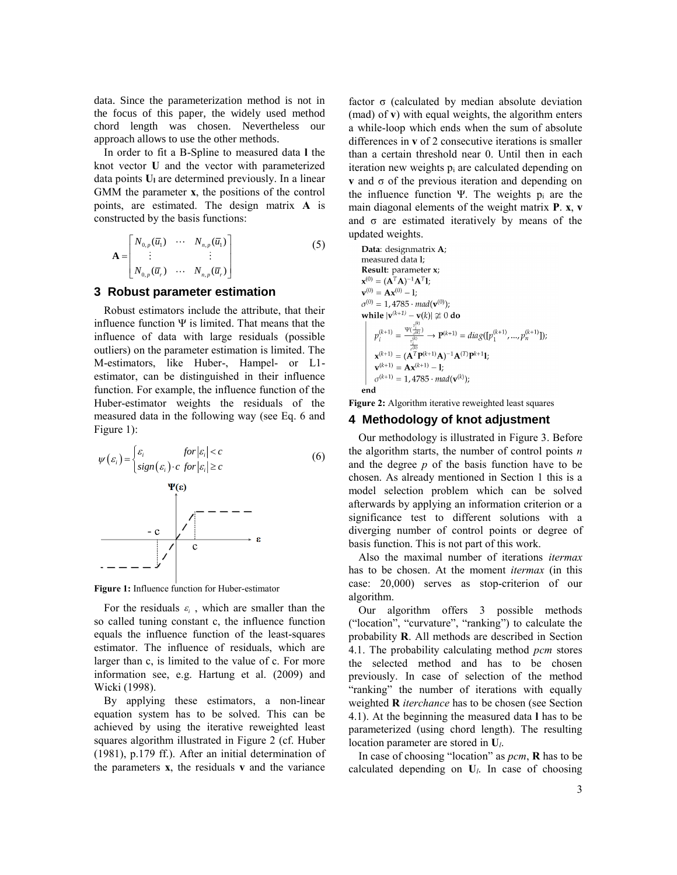data. Since the parameterization method is not in the focus of this paper, the widely used method chord length was chosen. Nevertheless our approach allows to use the other methods.

In order to fit a B-Spline to measured data **l** the knot vector **U** and the vector with parameterized data points **U<sup>l</sup>** are determined previously. In a linear GMM the parameter **x**, the positions of the control points, are estimated. The design matrix **A** is constructed by the basis functions:

$$
\mathbf{A} = \begin{bmatrix} N_{0,p}(\overline{u}_1) & \cdots & N_{n,p}(\overline{u}_1) \\ \vdots & & \vdots \\ N_{0,p}(\overline{u}_r) & \cdots & N_{n,p}(\overline{u}_r) \end{bmatrix}
$$
(5)

# **3 Robust parameter estimation**

Robust estimators include the attribute, that their influence function Ψ is limited. That means that the influence of data with large residuals (possible outliers) on the parameter estimation is limited. The M-estimators, like Huber-, Hampel- or L1 estimator, can be distinguished in their influence function. For example, the influence function of the Huber-estimator weights the residuals of the measured data in the following way (see Eq. 6 and Figure 1):

$$
\psi(\varepsilon_i) = \begin{cases} \varepsilon_i & \text{for } |\varepsilon_i| < c \\ sign(\varepsilon_i) \cdot c & \text{for } |\varepsilon_i| \ge c \end{cases} \tag{6}
$$
\n
$$
\Psi(\varepsilon)
$$
\n
$$
-\mathbf{c} \qquad \qquad \mathbf{c} \qquad \mathbf{c}
$$
\n
$$
-\mathbf{c} \qquad \qquad \mathbf{c} \qquad \mathbf{c}
$$

**Figure 1:** Influence function for Huber-estimator

For the residuals  $\varepsilon_i$ , which are smaller than the so called tuning constant c, the influence function equals the influence function of the least-squares estimator. The influence of residuals, which are larger than c, is limited to the value of c. For more information see, e.g. Hartung et al. (2009) and Wicki (1998).

By applying these estimators, a non-linear equation system has to be solved. This can be achieved by using the iterative reweighted least squares algorithm illustrated in Figure 2 (cf. Huber (1981), p.179 ff.). After an initial determination of the parameters **x**, the residuals **v** and the variance

factor σ (calculated by median absolute deviation (mad) of **v**) with equal weights, the algorithm enters a while-loop which ends when the sum of absolute differences in **v** of 2 consecutive iterations is smaller than a certain threshold near 0. Until then in each iteration new weights  $p_i$  are calculated depending on **v** and  $\sigma$  of the previous iteration and depending on the influence function Ψ. The weights  $p_i$  are the main diagonal elements of the weight matrix **P**. **x**, **v** and  $\sigma$  are estimated iteratively by means of the updated weights.

**Data:** designmatrix **A**;  
\nmeasured data 1;  
\n**Result:** parameter x;  
\n
$$
\mathbf{x}^{(0)} = (\mathbf{A}^T \mathbf{A})^{-1} \mathbf{A}^T \mathbf{I};
$$
\n
$$
\mathbf{v}^{(0)} = \mathbf{A} \mathbf{x}^{(0)} - \mathbf{I};
$$
\n
$$
\sigma^{(0)} = 1, 4785 \cdot mad(\mathbf{v}^{(0)});
$$
\nwhile  $|\mathbf{v}^{(k+1)} - \mathbf{v}(k)| \not\cong 0$  do  
\n
$$
p_i^{(k+1)} = \frac{\mathbf{v}(i_i^{(k)})}{v_i^{(k)}} \rightarrow \mathbf{P}^{(k+1)} = diag([p_1^{(k+1)}, ..., p_n^{(k+1)}]);
$$
\n
$$
\mathbf{x}^{(k+1)} = (\mathbf{A}^T \mathbf{P}^{(k+1)} \mathbf{A})^{-1} \mathbf{A}^{(T)} \mathbf{P}^{k+1} \mathbf{I};
$$
\n
$$
\mathbf{v}^{(k+1)} = \mathbf{A} \mathbf{x}^{(k+1)} - \mathbf{I};
$$
\n
$$
\sigma^{(k+1)} = 1, 4785 \cdot mad(\mathbf{v}^{(k)});
$$
\nend

**Figure 2:** Algorithm iterative reweighted least squares

#### **4 Methodology of knot adjustment**

Our methodology is illustrated in Figure 3. Before the algorithm starts, the number of control points *n* and the degree *p* of the basis function have to be chosen. As already mentioned in Section 1 this is a model selection problem which can be solved afterwards by applying an information criterion or a significance test to different solutions with a diverging number of control points or degree of basis function. This is not part of this work.

Also the maximal number of iterations *itermax* has to be chosen. At the moment *itermax* (in this case: 20,000) serves as stop-criterion of our algorithm.

Our algorithm offers 3 possible methods ("location", "curvature", "ranking") to calculate the probability **R**. All methods are described in Section 4.1. The probability calculating method *pcm* stores the selected method and has to be chosen previously. In case of selection of the method "ranking" the number of iterations with equally weighted **R** *iterchance* has to be chosen (see Section 4.1). At the beginning the measured data **l** has to be parameterized (using chord length). The resulting location parameter are stored in **U***l*.

In case of choosing "location" as *pcm*, **R** has to be calculated depending on **U***l*. In case of choosing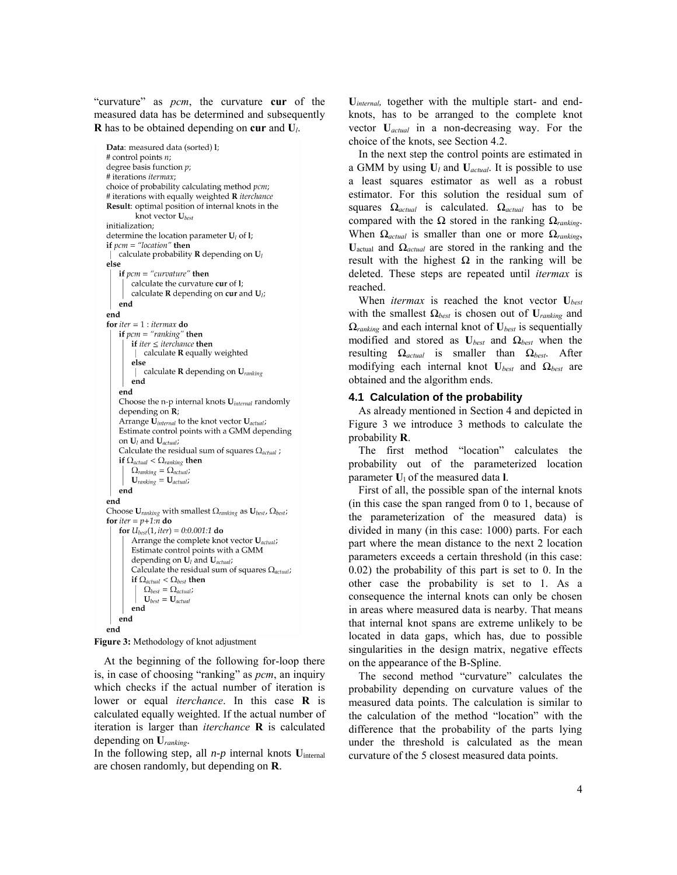"curvature" as *pcm*, the curvature **cur** of the measured data has be determined and subsequently **R** has to be obtained depending on **cur** and **U***l*.

Data: measured data (sorted) 1; # control points n; degree basis function  $p$ ; # iterations *itermax*; choice of probability calculating method pcm; # iterations with equally weighted **R** iterchance Result: optimal position of internal knots in the knot vector  $U_{best}$ initialization; determine the location parameter  $U_l$  of 1; if  $pcm = "location"$  then calculate probability **R** depending on  $U_l$ else if  $perm = "curvature"$  then calculate the curvature cur of 1; calculate  $\bf{R}$  depending on cur and  $\bf{U}_i$ ; end end for  $iter = 1$ : itermax do if  $pcm = "ranking"$  then if iter  $\leq$  iterchance then calculate R equally weighted else calculate **R** depending on  $U_{\text{ranking}}$ end end Choose the n-p internal knots U<sub>internal</sub> randomly depending on  $\mathbf{R}$ ; Arrange  $\widetilde{\mathbf{U}}_{internal}$  to the knot vector  $\mathbf{U}_{actual}$ ; Estimate control points with a GMM depending on  $U_l$  and  $U_{actual}$ ; Calculate the residual sum of squares  $\Omega_{actual}$ ; if  $\Omega_{actual} < \Omega_{ranking}$  then  $\Omega_{ranking}=\Omega_{actual}$  ;  $\mathbf{U}_{\text{ranking}} = \mathbf{U}_{\text{actual}}$ end end Choose  $\mathbf{U}_{\textit{ranking}}$  with smallest  $\Omega_{\textit{ranking}}$  as  $\mathbf{U}_{\textit{best}}, \Omega_{\textit{best}}$ for *iter* =  $p+1:n$  do for  $U_{best}(1, iter) = 0.0.001.1$  do Arrange the complete knot vector U<sub>actual</sub>; Estimate control points with a GMM depending on  $U_l$  and  $U_{actual}$ ; Calculate the residual sum of squares  $\Omega_{actual}$ ; if  $\Omega_{actual} < \Omega_{best}$  then  $\Omega_{best} = \Omega_{actual}$  $\mathbf{U}_{best} = \mathbf{U}_{actual}$ end end end

```
Figure 3: Methodology of knot adjustment
```
At the beginning of the following for-loop there is, in case of choosing "ranking" as *pcm*, an inquiry which checks if the actual number of iteration is lower or equal *iterchance*. In this case **R** is calculated equally weighted. If the actual number of iteration is larger than *iterchance* **R** is calculated depending on **U***ranking*.

In the following step, all  $n-p$  internal knots  $U_{\text{internal}}$ are chosen randomly, but depending on **R**.

**U***internal,* together with the multiple start- and endknots, has to be arranged to the complete knot vector **U***actual* in a non-decreasing way. For the choice of the knots, see Section 4.2.

In the next step the control points are estimated in a GMM by using **U***<sup>l</sup>* and **U***actual*. It is possible to use a least squares estimator as well as a robust estimator. For this solution the residual sum of squares *Ωactual* is calculated. *Ωactual* has to be compared with the Ω stored in the ranking *Ωranking*. When *Ωactual* is smaller than one or more *Ωranking*, **U**actual and *Ωactual* are stored in the ranking and the result with the highest  $Ω$  in the ranking will be deleted. These steps are repeated until *itermax* is reached.

When *itermax* is reached the knot vector **U***best* with the smallest *Ωbest* is chosen out of **U***ranking* and *Ωranking* and each internal knot of **U***best* is sequentially modified and stored as **U***best* and *Ωbest* when the resulting *Ωactual* is smaller than *Ωbest*. After modifying each internal knot **U***best* and *Ωbest* are obtained and the algorithm ends.

# **4.1 Calculation of the probability**

As already mentioned in Section 4 and depicted in Figure 3 we introduce 3 methods to calculate the probability **R**.

The first method "location" calculates the probability out of the parameterized location parameter **U**<sup>l</sup> of the measured data **l**.

First of all, the possible span of the internal knots (in this case the span ranged from 0 to 1, because of the parameterization of the measured data) is divided in many (in this case: 1000) parts. For each part where the mean distance to the next 2 location parameters exceeds a certain threshold (in this case: 0.02) the probability of this part is set to 0. In the other case the probability is set to 1. As a consequence the internal knots can only be chosen in areas where measured data is nearby. That means that internal knot spans are extreme unlikely to be located in data gaps, which has, due to possible singularities in the design matrix, negative effects on the appearance of the B-Spline.

The second method "curvature" calculates the probability depending on curvature values of the measured data points. The calculation is similar to the calculation of the method "location" with the difference that the probability of the parts lying under the threshold is calculated as the mean curvature of the 5 closest measured data points.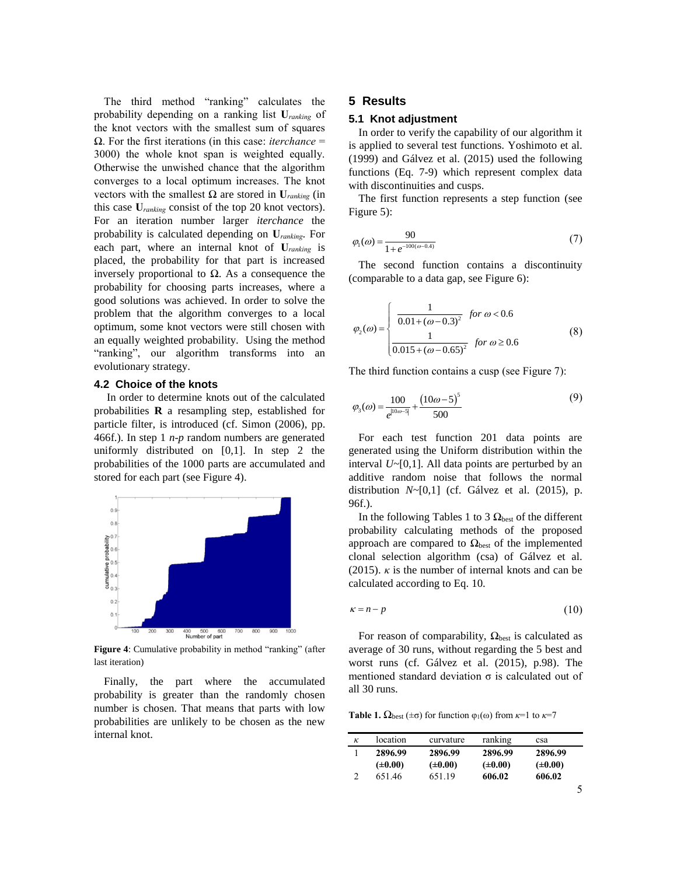The third method "ranking" calculates the probability depending on a ranking list **U***ranking* of the knot vectors with the smallest sum of squares Ω. For the first iterations (in this case: *iterchance* = 3000) the whole knot span is weighted equally. Otherwise the unwished chance that the algorithm converges to a local optimum increases. The knot vectors with the smallest Ω are stored in **U***ranking* (in this case **U***ranking* consist of the top 20 knot vectors). For an iteration number larger *iterchance* the probability is calculated depending on **U***ranking*. For each part, where an internal knot of **U***ranking* is placed, the probability for that part is increased inversely proportional to Ω. As a consequence the probability for choosing parts increases, where a good solutions was achieved. In order to solve the problem that the algorithm converges to a local optimum, some knot vectors were still chosen with an equally weighted probability. Using the method "ranking", our algorithm transforms into an evolutionary strategy.

#### **4.2 Choice of the knots**

In order to determine knots out of the calculated probabilities **R** a resampling step, established for particle filter, is introduced (cf. Simon (2006), pp. 466f.). In step 1 *n*-*p* random numbers are generated uniformly distributed on [0,1]. In step 2 the probabilities of the 1000 parts are accumulated and stored for each part (see Figure 4).



**Figure 4**: Cumulative probability in method "ranking" (after last iteration)

Finally, the part where the accumulated probability is greater than the randomly chosen number is chosen. That means that parts with low probabilities are unlikely to be chosen as the new internal knot.

# **5 Results**

#### **5.1 Knot adjustment**

In order to verify the capability of our algorithm it is applied to several test functions. Yoshimoto et al. (1999) and Gálvez et al. (2015) used the following functions (Eq. 7-9) which represent complex data with discontinuities and cusps.

The first function represents a step function (see Figure 5):

$$
\varphi_1(\omega) = \frac{90}{1 + e^{-100(\omega - 0.4)}}\tag{7}
$$

The second function contains a discontinuity (comparable to a data gap, see Figure 6):

$$
\varphi_2(\omega) = \begin{cases}\n\frac{1}{0.01 + (\omega - 0.3)^2} & \text{for } \omega < 0.6 \\
\frac{1}{0.015 + (\omega - 0.65)^2} & \text{for } \omega \ge 0.6\n\end{cases}
$$
\n(8)

The third function contains a cusp (see Figure 7):

$$
\varphi_3(\omega) = \frac{100}{e^{|10\omega - 5|}} + \frac{(10\omega - 5)^5}{500}
$$
\n(9)

For each test function 201 data points are generated using the Uniform distribution within the interval *U~*[0,1]. All data points are perturbed by an additive random noise that follows the normal distribution *N~*[0,1] (cf. Gálvez et al. (2015), p. 96f.).

In the following Tables 1 to 3  $\Omega_{\text{best}}$  of the different probability calculating methods of the proposed approach are compared to  $\Omega_{\text{best}}$  of the implemented clonal selection algorithm (csa) of Gálvez et al. (2015).  $\kappa$  is the number of internal knots and can be calculated according to Eq. 10.

$$
\kappa = n - p \tag{10}
$$

For reason of comparability,  $\Omega_{\text{best}}$  is calculated as average of 30 runs, without regarding the 5 best and worst runs (cf. Gálvez et al. (2015), p.98). The mentioned standard deviation  $\sigma$  is calculated out of all 30 runs.

**Table 1.**  $\Omega_{\text{best}}(\pm \sigma)$  for function  $\varphi_1(\omega)$  from  $\kappa=1$  to  $\kappa=7$ 

| к | location     | curvature    | ranking      | csa          |  |
|---|--------------|--------------|--------------|--------------|--|
|   | 2896.99      | 2896.99      | 2896.99      | 2896.99      |  |
|   | $(\pm 0.00)$ | $(\pm 0.00)$ | $(\pm 0.00)$ | $(\pm 0.00)$ |  |
|   | 651.46       | 651.19       | 606.02       | 606.02       |  |
|   |              |              |              |              |  |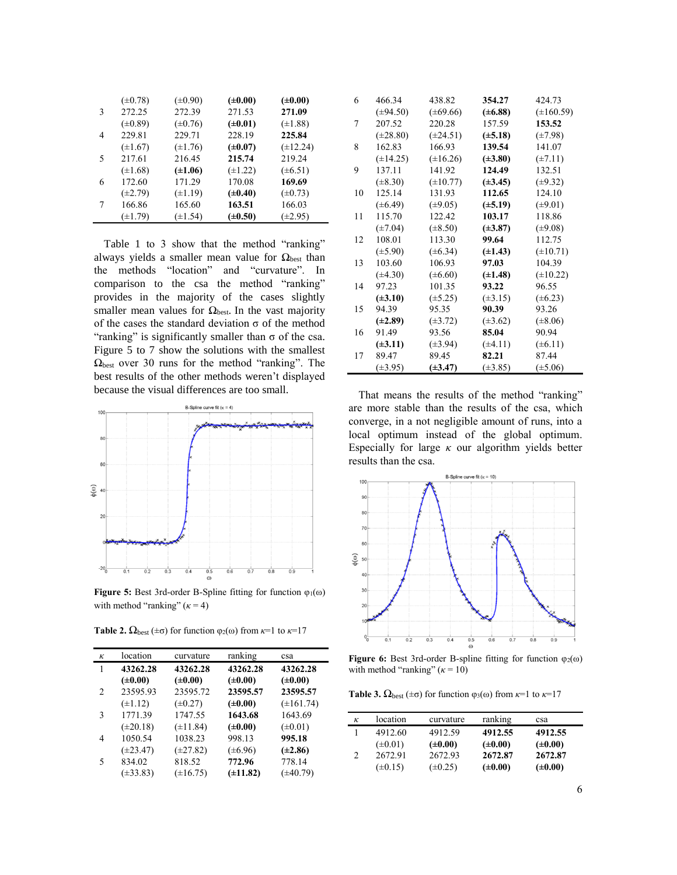|   | $(\pm 0.78)$ | $(\pm 0.90)$ | $(\pm 0.00)$ | $(\pm 0.00)$  |
|---|--------------|--------------|--------------|---------------|
| 3 | 272.25       | 272.39       | 271.53       | 271.09        |
|   | $(\pm 0.89)$ | $(\pm 0.76)$ | $(\pm 0.01)$ | $(\pm 1.88)$  |
| 4 | 229.81       | 229.71       | 228.19       | 225.84        |
|   | $(\pm 1.67)$ | $(\pm 1.76)$ | $(\pm 0.07)$ | $(\pm 12.24)$ |
| 5 | 217.61       | 216.45       | 215.74       | 219.24        |
|   | $(\pm 1.68)$ | $(\pm 1.06)$ | $(\pm 1.22)$ | $(\pm 6.51)$  |
| 6 | 172.60       | 171.29       | 170.08       | 169.69        |
|   | $(\pm 2.79)$ | $(\pm 1.19)$ | $(\pm 0.40)$ | $(\pm 0.73)$  |
| 7 | 166.86       | 165.60       | 163.51       | 166.03        |
|   | $(\pm 1.79)$ | $(\pm 1.54)$ | $(\pm 0.50)$ | $(\pm 2.95)$  |

Table 1 to 3 show that the method "ranking" always yields a smaller mean value for  $\Omega_{\text{best}}$  than the methods "location" and "curvature". In comparison to the csa the method "ranking" provides in the majority of the cases slightly smaller mean values for  $\Omega_{\text{best}}$ . In the vast majority of the cases the standard deviation  $\sigma$  of the method "ranking" is significantly smaller than  $\sigma$  of the csa. Figure 5 to 7 show the solutions with the smallest  $\Omega_{\text{best}}$  over 30 runs for the method "ranking". The best results of the other methods weren't displayed because the visual differences are too small.



**Figure 5:** Best 3rd-order B-Spline fitting for function φ1(ω) with method "ranking"  $(\kappa = 4)$ 

**Table 2.**  $\Omega_{\text{best}}(\pm \sigma)$  for function  $\varphi_2(\omega)$  from  $\kappa=1$  to  $\kappa=17$ 

| κ | location      | curvature     | ranking       | csa            |
|---|---------------|---------------|---------------|----------------|
| 1 | 43262.28      | 43262.28      | 43262.28      | 43262.28       |
|   | $(\pm 0.00)$  | $(\pm 0.00)$  | $(\pm 0.00)$  | $(\pm 0.00)$   |
| 2 | 23595.93      | 23595.72      | 23595.57      | 23595.57       |
|   | $(\pm 1.12)$  | $(\pm 0.27)$  | $(\pm 0.00)$  | $(\pm 161.74)$ |
| 3 | 1771.39       | 1747.55       | 1643.68       | 1643.69        |
|   | $(\pm 20.18)$ | $(\pm 11.84)$ | $(\pm 0.00)$  | $(\pm 0.01)$   |
| 4 | 1050.54       | 1038.23       | 998.13        | 995.18         |
|   | $(\pm 23.47)$ | $(\pm 27.82)$ | $(\pm 6.96)$  | $(\pm 2.86)$   |
| 5 | 834.02        | 818.52        | 772.96        | 778.14         |
|   | $(\pm 33.83)$ | $(\pm 16.75)$ | $(\pm 11.82)$ | $(\pm 40.79)$  |

| 6  | 466.34        | 438.82        | 354.27       | 424.73         |
|----|---------------|---------------|--------------|----------------|
|    | $(\pm 94.50)$ | $(\pm 69.66)$ | $(\pm 6.88)$ | $(\pm 160.59)$ |
| 7  | 207.52        | 220.28        | 157.59       | 153.52         |
|    | $(\pm 28.80)$ | $(\pm 24.51)$ | $(\pm 5.18)$ | $(\pm 7.98)$   |
| 8  | 162.83        | 166.93        | 139.54       | 141.07         |
|    | $(\pm 14.25)$ | $(\pm 16.26)$ | $(\pm 3.80)$ | $(\pm 7.11)$   |
| 9  | 137.11        | 141.92        | 124.49       | 132.51         |
|    | $(\pm 8.30)$  | $(\pm 10.77)$ | $(\pm 3.45)$ | $(\pm 9.32)$   |
| 10 | 125.14        | 131.93        | 112.65       | 124.10         |
|    | $(\pm 6.49)$  | $(\pm 9.05)$  | $(\pm 5.19)$ | $(\pm 9.01)$   |
| 11 | 115.70        | 122.42        | 103.17       | 118.86         |
|    | $(\pm 7.04)$  | $(\pm 8.50)$  | $(\pm 3.87)$ | $(\pm 9.08)$   |
| 12 | 108.01        | 113.30        | 99.64        | 112.75         |
|    | $(\pm 5.90)$  | $(\pm 6.34)$  | $(\pm 1.43)$ | $(\pm 10.71)$  |
| 13 | 103.60        | 106.93        | 97.03        | 104.39         |
|    | $(\pm 4.30)$  | $(\pm 6.60)$  | $(\pm 1.48)$ | $(\pm 10.22)$  |
| 14 | 97.23         | 101.35        | 93.22        | 96.55          |
|    | $(\pm 3.10)$  | $(\pm 5.25)$  | $(\pm 3.15)$ | $(\pm 6.23)$   |
| 15 | 94.39         | 95.35         | 90.39        | 93.26          |
|    | $(\pm 2.89)$  | $(\pm 3.72)$  | $(\pm 3.62)$ | $(\pm 8.06)$   |
| 16 | 91.49         | 93.56         | 85.04        | 90.94          |
|    | $(\pm 3.11)$  | $(\pm 3.94)$  | $(\pm 4.11)$ | $(\pm 6.11)$   |
| 17 | 89.47         | 89.45         | 82.21        | 87.44          |
|    | $(\pm 3.95)$  | $(\pm 3.47)$  | $(\pm 3.85)$ | $(\pm 5.06)$   |

That means the results of the method "ranking" are more stable than the results of the csa, which converge, in a not negligible amount of runs, into a local optimum instead of the global optimum. Especially for large  $\kappa$  our algorithm yields better results than the csa.



**Figure 6:** Best 3rd-order B-spline fitting for function  $φ_2(ω)$ with method "ranking"  $(\kappa = 10)$ 

**Table 3.**  $\Omega_{\text{best}}(\pm \sigma)$  for function  $\varphi_3(\omega)$  from  $\kappa=1$  to  $\kappa=17$ 

| к             | location     | curvature    | ranking      | csa          |  |
|---------------|--------------|--------------|--------------|--------------|--|
|               | 4912.60      | 4912.59      | 4912.55      | 4912.55      |  |
|               | $(\pm 0.01)$ | $(\pm 0.00)$ | $(\pm 0.00)$ | $(\pm 0.00)$ |  |
| $\mathcal{L}$ | 2672.91      | 2672.93      | 2672.87      | 2672.87      |  |
|               | $(\pm 0.15)$ | $(\pm 0.25)$ | $(\pm 0.00)$ | $(\pm 0.00)$ |  |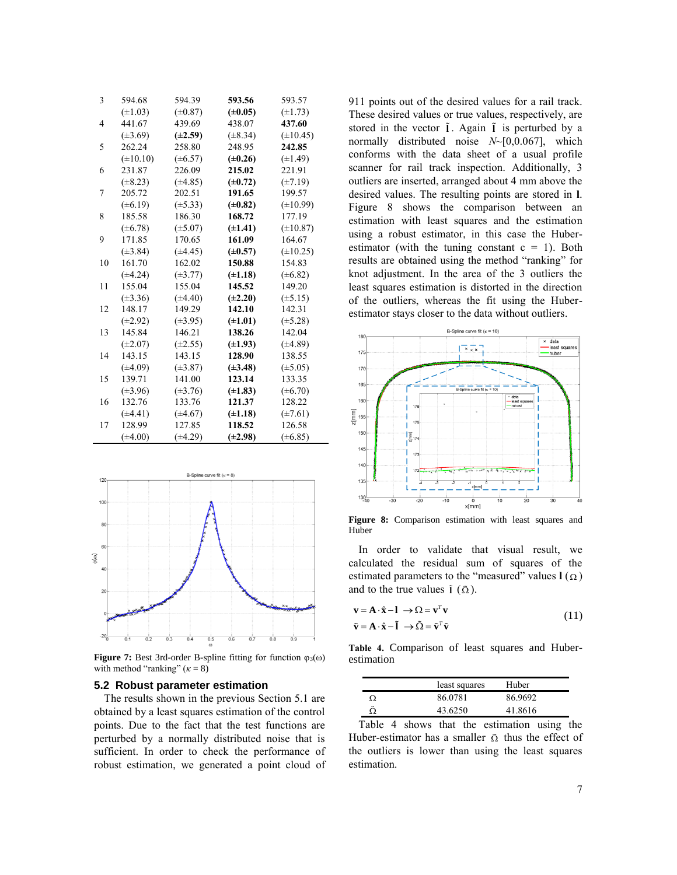| 3  | 594.68        | 594.39       | 593.56       | 593.57        |
|----|---------------|--------------|--------------|---------------|
|    | $(\pm 1.03)$  | $(\pm 0.87)$ | $(\pm 0.05)$ | $(\pm 1.73)$  |
| 4  | 441.67        | 439.69       | 438.07       | 437.60        |
|    | $(\pm 3.69)$  | $(\pm 2.59)$ | $(\pm 8.34)$ | $(\pm 10.45)$ |
| 5  | 262.24        | 258.80       | 248.95       | 242.85        |
|    | $(\pm 10.10)$ | $(\pm 6.57)$ | $(\pm 0.26)$ | $(\pm 1.49)$  |
| 6  | 231.87        | 226.09       | 215.02       | 221.91        |
|    | $(\pm 8.23)$  | $(\pm 4.85)$ | $(\pm 0.72)$ | $(\pm 7.19)$  |
| 7  | 205.72        | 202.51       | 191.65       | 199.57        |
|    | $(\pm 6.19)$  | $(\pm 5.33)$ | $(\pm 0.82)$ | $(\pm 10.99)$ |
| 8  | 185.58        | 186.30       | 168.72       | 177.19        |
|    | $(\pm 6.78)$  | $(\pm 5.07)$ | $(\pm 1.41)$ | $(\pm 10.87)$ |
| 9  | 171.85        | 170.65       | 161.09       | 164.67        |
|    | $(\pm 3.84)$  | $(\pm 4.45)$ | $(\pm 0.57)$ | $(\pm 10.25)$ |
| 10 | 161.70        | 162.02       | 150.88       | 154.83        |
|    | $(*4.24)$     | $(\pm 3.77)$ | $(\pm 1.18)$ | $(\pm 6.82)$  |
| 11 | 155.04        | 155.04       | 145.52       | 149.20        |
|    | $(\pm 3.36)$  | $(\pm 4.40)$ | $(\pm 2.20)$ | $(\pm 5.15)$  |
| 12 | 148.17        | 149.29       | 142.10       | 142.31        |
|    | $(\pm 2.92)$  | $(\pm 3.95)$ | $(\pm 1.01)$ | $(\pm 5.28)$  |
| 13 | 145.84        | 146.21       | 138.26       | 142.04        |
|    | $(\pm 2.07)$  | $(\pm 2.55)$ | $(\pm 1.93)$ | $(\pm 4.89)$  |
| 14 | 143.15        | 143.15       | 128.90       | 138.55        |
|    | $(*4.09)$     | $(\pm 3.87)$ | $(\pm 3.48)$ | $(\pm 5.05)$  |
| 15 | 139.71        | 141.00       | 123.14       | 133.35        |
|    | $(\pm 3.96)$  | $(\pm 3.76)$ | $(\pm 1.83)$ | $(\pm 6.70)$  |
| 16 | 132.76        | 133.76       | 121.37       | 128.22        |
|    | $(\pm 4.41)$  | $(\pm 4.67)$ | $(\pm 1.18)$ | $(\pm 7.61)$  |
| 17 | 128.99        | 127.85       | 118.52       | 126.58        |
|    | $(\pm 4.00)$  | $(\pm 4.29)$ | $(\pm 2.98)$ | $(\pm 6.85)$  |



**Figure 7:** Best 3rd-order B-spline fitting for function  $\varphi_3(\omega)$ with method "ranking" (*κ* = 8)

#### **5.2 Robust parameter estimation**

The results shown in the previous Section 5.1 are obtained by a least squares estimation of the control points. Due to the fact that the test functions are perturbed by a normally distributed noise that is sufficient. In order to check the performance of robust estimation, we generated a point cloud of 911 points out of the desired values for a rail track. These desired values or true values, respectively, are stored in the vector **l** . Again **l** is perturbed by a normally distributed noise *N*~[0,0.067], which conforms with the data sheet of a usual profile scanner for rail track inspection. Additionally, 3 outliers are inserted, arranged about 4 mm above the desired values. The resulting points are stored in **l**. Figure 8 shows the comparison between an estimation with least squares and the estimation using a robust estimator, in this case the Huberestimator (with the tuning constant  $c = 1$ ). Both results are obtained using the method "ranking" for knot adjustment. In the area of the 3 outliers the least squares estimation is distorted in the direction of the outliers, whereas the fit using the Huberestimator stays closer to the data without outliers.



**Figure 8:** Comparison estimation with least squares and Huber

and to the true values  $\tilde{\mathbf{i}}$  ( $\tilde{\mathbf{Q}}$ ). In order to validate that visual result, we calculated the residual sum of squares of the estimated parameters to the "measured" values  $I(\Omega)$ 

$$
\mathbf{v} = \mathbf{A} \cdot \hat{\mathbf{x}} - \mathbf{l} \rightarrow \Omega = \mathbf{v}^T \mathbf{v}
$$
  
\n
$$
\tilde{\mathbf{v}} = \mathbf{A} \cdot \hat{\mathbf{x}} - \tilde{\mathbf{l}} \rightarrow \tilde{\Omega} = \tilde{\mathbf{v}}^T \tilde{\mathbf{v}}
$$
\n(11)

**Table 4.** Comparison of least squares and Huberestimation

|                       | least squares | Huber   |
|-----------------------|---------------|---------|
|                       | 86.0781       | 86.9692 |
| $\tilde{\phantom{a}}$ | 43.6250       | 41.8616 |

Table 4 shows that the estimation using the Huber-estimator has a smaller  $\tilde{\Omega}$  thus the effect of the outliers is lower than using the least squares estimation.